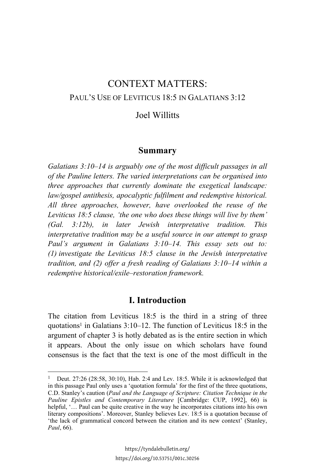# CONTEXT MATTERS: PAUL'S USE OF LEVITICUS 18:5 IN GALATIANS 3:12

# Joel Willitts

## **Summary**

*Galatians 3:10–14 is arguably one of the most difficult passages in all of the Pauline letters. The varied interpretations can be organised into three approaches that currently dominate the exegetical landscape: law/gospel antithesis, apocalyptic fulfilment and redemptive historical. All three approaches, however, have overlooked the reuse of the Leviticus 18:5 clause, 'the one who does these things will live by them' (Gal. 3:12b), in later Jewish interpretative tradition. This interpretative tradition may be a useful source in our attempt to grasp Paul's argument in Galatians 3:10–14. This essay sets out to: (1) investigate the Leviticus 18:5 clause in the Jewish interpretative tradition, and (2) offer a fresh reading of Galatians 3:10–14 within a redemptive historical/exile–restoration framework.*

## **I. Introduction**

The citation from Leviticus 18:5 is the third in a string of three quotations<sup>1</sup> in Galatians  $3:10-12$ . The function of Leviticus 18:5 in the argument of chapter 3 is hotly debated as is the entire section in which it appears. About the only issue on which scholars have found consensus is the fact that the text is one of the most difficult in the

 $\overline{a}$ 

<sup>1</sup> Deut. 27:26 (28:58, 30:10), Hab. 2:4 and Lev. 18:5. While it is acknowledged that in this passage Paul only uses a 'quotation formula' for the first of the three quotations, C.D. Stanley's caution (*Paul and the Language of Scripture: Citation Technique in the Pauline Epistles and Contemporary Literature* [Cambridge: CUP, 1992], 66) is helpful, '… Paul can be quite creative in the way he incorporates citations into his own literary compositions'. Moreover, Stanley believes Lev. 18:5 is a quotation because of 'the lack of grammatical concord between the citation and its new context' (Stanley, *Paul*, 66).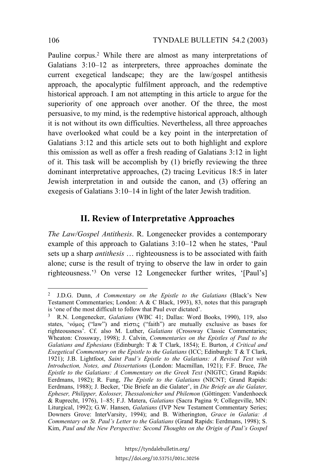Pauline corpus.2 While there are almost as many interpretations of Galatians 3:10–12 as interpreters, three approaches dominate the current exegetical landscape; they are the law/gospel antithesis approach, the apocalyptic fulfilment approach, and the redemptive historical approach. I am not attempting in this article to argue for the superiority of one approach over another. Of the three, the most persuasive, to my mind, is the redemptive historical approach, although it is not without its own difficulties. Nevertheless, all three approaches have overlooked what could be a key point in the interpretation of Galatians 3:12 and this article sets out to both highlight and explore this omission as well as offer a fresh reading of Galatians 3:12 in light of it. This task will be accomplish by (1) briefly reviewing the three dominant interpretative approaches, (2) tracing Leviticus 18:5 in later Jewish interpretation in and outside the canon, and (3) offering an exegesis of Galatians 3:10–14 in light of the later Jewish tradition.

# **II. Review of Interpretative Approaches**

*The Law/Gospel Antithesis*. R. Longenecker provides a contemporary example of this approach to Galatians 3:10–12 when he states, 'Paul sets up a sharp *antithesis* … righteousness is to be associated with faith alone; curse is the result of trying to observe the law in order to gain righteousness.'3 On verse 12 Longenecker further writes, '[Paul's]

<sup>2</sup> J.D.G. Dunn, *A Commentary on the Epistle to the Galatians* (Black's New Testament Commentaries; London: A & C Black, 1993), 83, notes that this paragraph is 'one of the most difficult to follow that Paul ever dictated'.

<sup>3</sup> R.N. Longenecker, *Galatians* (WBC 41; Dallas: Word Books, 1990), 119, also states, ' $v$  opos ("law") and  $\pi$ iotic ("faith") are mutually exclusive as bases for righteousness'. Cf. also M. Luther, *Galatians* (Crossway Classic Commentaries; Wheaton: Crossway, 1998); J. Calvin, *Commentaries on the Epistles of Paul to the Galatians and Ephesians* (Edinburgh: T & T Clark, 1854); E. Burton, *A Critical and Exegetical Commentary on the Epistle to the Galatians* (ICC; Edinburgh: T & T Clark, 1921); J.B. Lightfoot, *Saint Paul's Epistle to the Galatians: A Revised Text with Introduction, Notes, and Dissertations* (London: Macmillan, 1921); F.F. Bruce, *The Epistle to the Galatians: A Commentary on the Greek Text* (NIGTC; Grand Rapids: Eerdmans, 1982); R. Fung, *The Epistle to the Galatians* (NICNT; Grand Rapids: Eerdmans, 1988); J. Becker, 'Die Briefe an die Galater', in *Die Briefe an die Galater, Epheser, Philipper, Kolosser, Thessalonicher und Philemon* (Göttingen: Vandenhoeck & Ruprecht, 1976), 1–85; F.J. Matera, *Galatians* (Sacra Pagina 9; Collegeville, MN: Liturgical, 1992); G.W. Hansen, *Galatians* (IVP New Testament Commentary Series; Downers Grove: InterVarsity, 1994); and B. Witherington, *Grace in Galatia: A Commentary on St. Paul's Letter to the Galatians* (Grand Rapids: Eerdmans, 1998); S. Kim, *Paul and the New Perspective: Second Thoughts on the Origin of Paul's Gospel*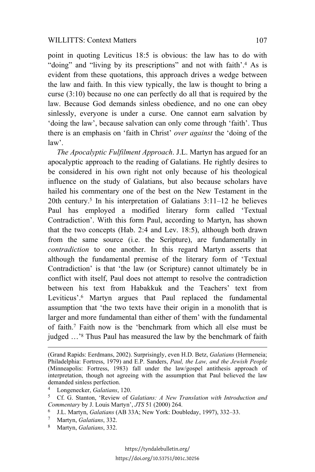#### WILLITTS: Context Matters 107

point in quoting Leviticus 18:5 is obvious: the law has to do with "doing" and "living by its prescriptions" and not with faith'.<sup>4</sup> As is evident from these quotations, this approach drives a wedge between the law and faith. In this view typically, the law is thought to bring a curse (3:10) because no one can perfectly do all that is required by the law. Because God demands sinless obedience, and no one can obey sinlessly, everyone is under a curse. One cannot earn salvation by 'doing the law', because salvation can only come through 'faith'. Thus there is an emphasis on 'faith in Christ' *over against* the 'doing of the law'.

*The Apocalyptic Fulfilment Approach*. J.L. Martyn has argued for an apocalyptic approach to the reading of Galatians. He rightly desires to be considered in his own right not only because of his theological influence on the study of Galatians, but also because scholars have hailed his commentary one of the best on the New Testament in the 20th century.5 In his interpretation of Galatians 3:11–12 he believes Paul has employed a modified literary form called 'Textual Contradiction'. With this form Paul, according to Martyn, has shown that the two concepts (Hab. 2:4 and Lev. 18:5), although both drawn from the same source (i.e. the Scripture), are fundamentally in *contradiction* to one another. In this regard Martyn asserts that although the fundamental premise of the literary form of 'Textual Contradiction' is that 'the law (or Scripture) cannot ultimately be in conflict with itself, Paul does not attempt to resolve the contradiction between his text from Habakkuk and the Teachers' text from Leviticus'.<sup>6</sup> Martyn argues that Paul replaced the fundamental assumption that 'the two texts have their origin in a monolith that is larger and more fundamental than either of them' with the fundamental of faith.7 Faith now is the 'benchmark from which all else must be judged …'8 Thus Paul has measured the law by the benchmark of faith

l

<sup>8</sup> Martyn, *Galatians*, 332.

<sup>(</sup>Grand Rapids: Eerdmans, 2002). Surprisingly, even H.D. Betz, *Galatians* (Hermeneia; Philadelphia: Fortress, 1979) and E.P. Sanders, *Paul, the Law, and the Jewish People* (Minneapolis: Fortress, 1983) fall under the law/gospel antithesis approach of interpretation, though not agreeing with the assumption that Paul believed the law demanded sinless perfection.

<sup>4</sup> Longenecker, *Galatians*, 120.

<sup>5</sup> Cf. G. Stanton, 'Review of *Galatians: A New Translation with Introduction and Commentary* by J. Louis Martyn', *JTS* 51 (2000) 264.

<sup>6</sup> J.L. Martyn, *Galatians* (AB 33A; New York: Doubleday, 1997), 332–33.

<sup>7</sup> Martyn, *Galatians*, 332.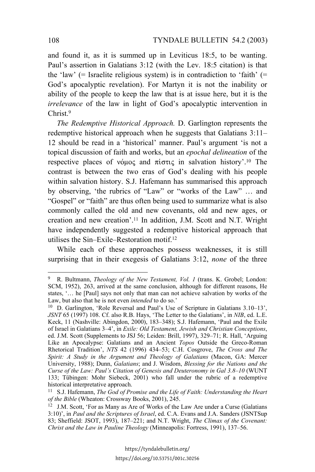and found it, as it is summed up in Leviticus 18:5, to be wanting. Paul's assertion in Galatians 3:12 (with the Lev. 18:5 citation) is that the 'law' (= Israelite religious system) is in contradiction to 'faith' (= God's apocalyptic revelation). For Martyn it is not the inability or ability of the people to keep the law that is at issue here, but it is the *irrelevance* of the law in light of God's apocalyptic intervention in Christ<sup>9</sup>

*The Redemptive Historical Approach.* D. Garlington represents the redemptive historical approach when he suggests that Galatians 3:11– 12 should be read in a 'historical' manner. Paul's argument 'is not a topical discussion of faith and works, but an *epochal delineation* of the respective places of νόμος and πίστις in salvation history'.<sup>10</sup> The contrast is between the two eras of God's dealing with his people within salvation history. S.J. Hafemann has summarised this approach by observing, 'the rubrics of "Law" or "works of the Law" … and "Gospel" or "faith" are thus often being used to summarize what is also commonly called the old and new covenants, old and new ages, or creation and new creation'.11 In addition, J.M. Scott and N.T. Wright have independently suggested a redemptive historical approach that utilises the Sin–Exile–Restoration motif.12

While each of these approaches possess weaknesses, it is still surprising that in their exegesis of Galatians 3:12, *none* of the three

<sup>9</sup> R. Bultmann, *Theology of the New Testament, Vol. 1* (trans. K. Grobel; London: SCM, 1952), 263, arrived at the same conclusion, although for different reasons, He states, '… he [Paul] says not only that man can not achieve salvation by works of the Law, but also that he is not even *intended* to do so.'

<sup>10</sup> D. Garlington, 'Role Reversal and Paul's Use of Scripture in Galatians 3.10–13', *JSNT* 65 (1997) 108. Cf. also R.B. Hays, 'The Letter to the Galatians', in *NIB*, ed. L.E. Keck, 11 (Nashville: Abingdon, 2000), 183–348); S.J. Hafemann, 'Paul and the Exile of Israel in Galatians 3–4', in *Exile: Old Testament, Jewish and Christian Conceptions*, ed. J.M. Scott (Supplements to JSJ 56; Leiden: Brill, 1997), 329–71; R. Hall, 'Arguing Like an Apocalypse: Galatians and an Ancient *Topos* Outside the Greco-Roman Rhetorical Tradition', *NTS* 42 (1996) 434–53; C.H. Cosgrove, *The Cross and The Spirit: A Study in the Argument and Theology of Galatians* (Macon, GA: Mercer University, 1988); Dunn, *Galatians*; and J. Wisdom, *Blessing for the Nations and the Curse of the Law: Paul's Citation of Genesis and Deuteronomy in Gal 3.8–10* (WUNT 133; Tübingen: Mohr Siebeck, 2001) who fall under the rubric of a redemptive historical interpretative approach.

<sup>11</sup> S.J. Hafemann, *The God of Promise and the Life of Faith: Understanding the Heart of the Bible* (Wheaton: Crossway Books, 2001), 245.

<sup>&</sup>lt;sup>12</sup> J.M. Scott, 'For as Many as Are of Works of the Law Are under a Curse (Galatians 3:10)', in *Paul and the Scriptures of Israel*, ed. C.A. Evans and J.A. Sanders (JSNTSup 83; Sheffield: JSOT, 1993), 187–221; and N.T. Wright, *The Climax of the Covenant: Christ and the Law in Pauline Theology* (Minneapolis: Fortress, 1991), 137–56.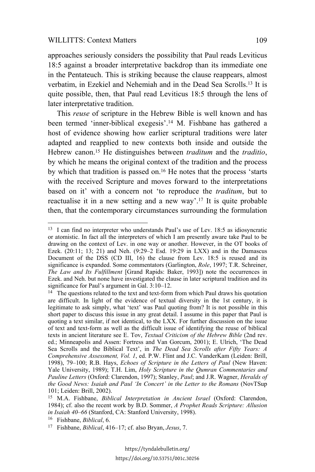#### WILLITTS: Context Matters 109

approaches seriously considers the possibility that Paul reads Leviticus 18:5 against a broader interpretative backdrop than its immediate one in the Pentateuch. This is striking because the clause reappears, almost verbatim, in Ezekiel and Nehemiah and in the Dead Sea Scrolls.13 It is quite possible, then, that Paul read Leviticus 18:5 through the lens of later interpretative tradition.

This *reuse* of scripture in the Hebrew Bible is well known and has been termed 'inner-biblical exegesis'.14 M. Fishbane has gathered a host of evidence showing how earlier scriptural traditions were later adapted and reapplied to new contexts both inside and outside the Hebrew canon.15 He distinguishes between *traditum* and the *traditio*, by which he means the original context of the tradition and the process by which that tradition is passed on.16 He notes that the process 'starts with the received Scripture and moves forward to the interpretations based on it' with a concern not 'to reproduce the *traditum*, but to reactualise it in a new setting and a new way'.17 It is quite probable then, that the contemporary circumstances surrounding the formulation

 $\overline{a}$ 

<sup>13</sup> I can find no interpreter who understands Paul's use of Lev. 18:5 as idiosyncratic or atomistic. In fact all the interpreters of which I am presently aware take Paul to be drawing on the context of Lev. in one way or another. However, in the OT books of Ezek. (20:11; 13; 21) and Neh. (9:29–2 Esd. 19:29 in LXX) and in the Damascus Document of the DSS (CD III, 16) the clause from Lev. 18:5 is reused and its significance is expanded. Some commentators (Garlington, *Role*, 1997; T.R. Schreiner, *The Law and Its Fulfillment* [Grand Rapids: Baker, 1993]) note the occurrences in Ezek. and Neh. but none have investigated the clause in later scriptural tradition and its significance for Paul's argument in Gal. 3:10–12.

<sup>&</sup>lt;sup>14</sup> The questions related to the text and text-form from which Paul draws his quotation are difficult. In light of the evidence of textual diversity in the 1st century, it is legitimate to ask simply, what 'text' was Paul quoting from? It is not possible in this short paper to discuss this issue in any great detail. I assume in this paper that Paul is quoting a text similar, if not identical, to the LXX. For further discussion on the issue of text and text-form as well as the difficult issue of identifying the reuse of biblical texts in ancient literature see E. Tov, *Textual Criticism of the Hebrew Bible* (2nd rev. ed.; Minneapolis and Assen: Fortress and Van Gorcum, 2001); E. Ulrich, 'The Dead Sea Scrolls and the Biblical Text', in *The Dead Sea Scrolls after Fifty Years: A Comprehensive Assessment, Vol. 1*, ed. P.W. Flint and J.C. VanderKam (Leiden: Brill, 1998), 79–100; R.B. Hays, *Echoes of Scripture in the Letters of Paul* (New Haven: Yale University, 1989); T.H. Lim, *Holy Scripture in the Qumran Commentaries and Pauline Letters* (Oxford: Clarendon, 1997); Stanley, *Paul*; and J.R. Wagner, *Heralds of the Good News: Isaiah and Paul 'In Concert' in the Letter to the Romans* (NovTSup 101; Leiden: Brill, 2002).

<sup>15</sup> M.A. Fishbane, *Biblical Interpretation in Ancient Israel* (Oxford: Clarendon, 1984); cf. also the recent work by B.D. Sommer, *A Prophet Reads Scripture: Allusion in Isaiah 40–66* (Stanford, CA: Stanford University, 1998).

<sup>16</sup> Fishbane, *Biblical*, 6.

<sup>17</sup> Fishbane, *Biblical*, 416–17; cf. also Bryan, *Jesus*, 7.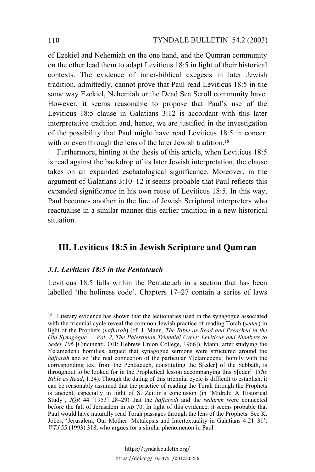of Ezekiel and Nehemiah on the one hand, and the Qumran community on the other lead them to adapt Leviticus 18:5 in light of their historical contexts. The evidence of inner-biblical exegesis in later Jewish tradition, admittedly, cannot prove that Paul read Leviticus 18:5 in the same way Ezekiel, Nehemiah or the Dead Sea Scroll community have. However, it seems reasonable to propose that Paul's use of the Leviticus 18:5 clause in Galatians 3:12 is accordant with this later interpretative tradition and, hence, we are justified in the investigation of the possibility that Paul might have read Leviticus 18:5 in concert with or even through the lens of the later Jewish tradition.<sup>18</sup>

Furthermore, hinting at the thesis of this article, when Leviticus 18:5 is read against the backdrop of its later Jewish interpretation, the clause takes on an expanded eschatological significance. Moreover, in the argument of Galatians 3:10–12 it seems probable that Paul reflects this expanded significance in his own reuse of Leviticus 18:5. In this way, Paul becomes another in the line of Jewish Scriptural interpreters who reactualise in a similar manner this earlier tradition in a new historical situation.

# **III. Leviticus 18:5 in Jewish Scripture and Qumran**

## *3.1. Leviticus 18:5 in the Pentateuch*

Leviticus 18:5 falls within the Pentateuch in a section that has been labelled 'the holiness code'. Chapters 17–27 contain a series of laws

<sup>&</sup>lt;sup>18</sup> Literary evidence has shown that the lectionaries used in the synagogue associated with the triennial cycle reveal the common Jewish practice of reading Torah (*seder*) in light of the Prophets (*haftarah*) (cf. J. Mann, *The Bible as Read and Preached in the Old Synagogue … Vol. 2, The Palestinian Triennial Cycle: Leviticus and Numbers to Seder 106* [Cincinnati, OH: Hebrew Union College, 1966]). Mann, after studying the Yelamedenu homilies, argued that synagogue sermons were structured around the *haftarah* and so 'the real connection of the particular Y[elamedenu] homily with the corresponding text from the Pentateuch, constituting the S[eder] of the Sabbath, is throughout to be looked for in the Prophetical lesson accompanying this S[eder]' (*The Bible as Read*, 1.24). Though the dating of this triennial cycle is difficult to establish, it can be reasonably assumed that the practice of reading the Torah through the Prophets is ancient, especially in light of S. Zeitlin's conclusion (in 'Midrah: A Historical Study', *JQR* 44 [1953] 28–29) that the *haftaroth* and the *sedarim* were connected before the fall of Jerusalem in AD 70. In light of this evidence, it seems probable that Paul would have naturally read Torah passages through the lens of the Prophets. See K. Jobes, 'Jerusalem, Our Mother: Metalepsis and Intertextuality in Galatians 4:21–31', *WTJ* 55 (1993) 318, who argues for a similar phenomenon in Paul.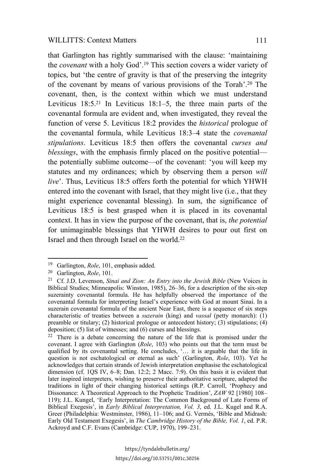that Garlington has rightly summarised with the clause: 'maintaining the *covenant* with a holy God'.19 This section covers a wider variety of topics, but 'the centre of gravity is that of the preserving the integrity of the covenant by means of various provisions of the Torah'.20 The covenant, then, is the context within which we must understand Leviticus 18:5.21 In Leviticus 18:1–5, the three main parts of the covenantal formula are evident and, when investigated, they reveal the function of verse 5. Leviticus 18:2 provides the *historical* prologue of the covenantal formula, while Leviticus 18:3–4 state the *covenantal stipulations*. Leviticus 18:5 then offers the covenantal *curses and blessings*, with the emphasis firmly placed on the positive potential the potentially sublime outcome—of the covenant: 'you will keep my statutes and my ordinances; which by observing them a person *will live*'. Thus, Leviticus 18:5 offers forth the potential for which YHWH entered into the covenant with Israel, that they might live (i.e., that they might experience covenantal blessing). In sum, the significance of Leviticus 18:5 is best grasped when it is placed in its covenantal context. It has in view the purpose of the covenant, that is, *the potential* for unimaginable blessings that YHWH desires to pour out first on Israel and then through Israel on the world.22

<sup>19</sup> Garlington, *Role*, 101, emphasis added.

<sup>20</sup> Garlington, *Role*, 101.

<sup>21</sup> Cf. J.D. Levenson, *Sinai and Zion: An Entry into the Jewish Bible* (New Voices in Biblical Studies; Minneapolis: Winston, 1985), 26–36, for a description of the six-step suzerainty covenantal formula. He has helpfully observed the importance of the covenantal formula for interpreting Israel's experience with God at mount Sinai. In a suzerain covenantal formula of the ancient Near East, there is a sequence of six steps characteristic of treaties between a *suzerain* (king) and *vassal* (petty monarch): (1) preamble or titulary; (2) historical prologue or antecedent history; (3) stipulations; (4) deposition; (5) list of witnesses; and (6) curses and blessings.

<sup>22</sup> There is a debate concerning the nature of the life that is promised under the covenant. I agree with Garlington (*Role*, 103) who points out that the term must be qualified by its covenantal setting. He concludes, '… it is arguable that the life in question is not eschatological or eternal as such' (Garlington, *Role*, 103). Yet he acknowledges that certain strands of Jewish interpretation emphasise the eschatological dimension (cf. 1QS IV, 6–8; Dan. 12:2; 2 Macc. 7:9). On this basis it is evident that later inspired interpreters, wishing to preserve their authoritative scripture, adapted the traditions in light of their changing historical settings (R.P. Carroll, 'Prophecy and Dissonance: A Theoretical Approach to the Prophetic Tradition', *ZAW* 92 [1980] 108– 119); J.L. Kungel, 'Early Interpretation: The Common Background of Late Forms of Biblical Exegesis', in *Early Biblical Interpretation, Vol. 3*, ed. J.L. Kugel and R.A. Greer (Philadelphia: Westminster, 1986), 11–106; and G. Vermès, 'Bible and Midrash: Early Old Testament Exegesis', in *The Cambridge History of the Bible, Vol. 1*, ed. P.R. Ackroyd and C.F. Evans (Cambridge: CUP, 1970), 199–231.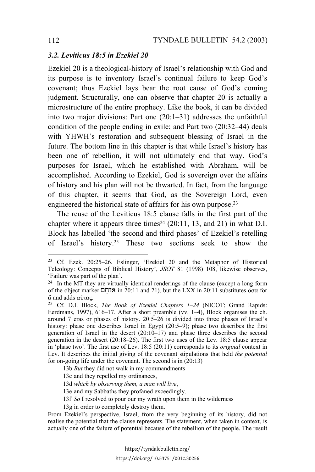### *3.2. Leviticus 18:5 in Ezekiel 20*

Ezekiel 20 is a theological-history of Israel's relationship with God and its purpose is to inventory Israel's continual failure to keep God's covenant; thus Ezekiel lays bear the root cause of God's coming judgment. Structurally, one can observe that chapter 20 is actually a microstructure of the entire prophecy. Like the book, it can be divided into two major divisions: Part one (20:1–31) addresses the unfaithful condition of the people ending in exile; and Part two (20:32–44) deals with YHWH's restoration and subsequent blessing of Israel in the future. The bottom line in this chapter is that while Israel's history has been one of rebellion, it will not ultimately end that way. God's purposes for Israel, which he established with Abraham, will be accomplished. According to Ezekiel, God is sovereign over the affairs of history and his plan will not be thwarted. In fact, from the language of this chapter, it seems that God, as the Sovereign Lord, even engineered the historical state of affairs for his own purpose.23

The reuse of the Leviticus 18:5 clause falls in the first part of the chapter where it appears three times<sup>24</sup> (20:11, 13, and 21) in what D.I. Block has labelled 'the second and third phases' of Ezekiel's retelling of Israel's history.25 These two sections seek to show the

- 13d *which by observing them, a man will live*,
- 13e and my Sabbaths they profaned exceedingly.
- 13f *So* I resolved to pour our my wrath upon them in the wilderness
- 13g in order to completely destroy them.

From Ezekiel's perspective, Israel, from the very beginning of its history, did not realise the potential that the clause represents. The statement, when taken in context, is actually one of the failure of potential because of the rebellion of the people. The result

<sup>23</sup> Cf. Ezek. 20:25–26. Eslinger, 'Ezekiel 20 and the Metaphor of Historical Teleology: Concepts of Biblical History', *JSOT* 81 (1998) 108, likewise observes, 'Failure was part of the plan'.

<sup>&</sup>lt;sup>24</sup> In the MT they are virtually identical renderings of the clause (except a long form of the object marker  $\Box$  in 20:11 and 21), but the LXX in 20:11 substitutes  $\delta \sigma \alpha$  for  $\ddot{\alpha}$  and adds  $\alpha\dot{\alpha}\alpha\dot{\alpha}$ .

<sup>25</sup> Cf. D.I. Block, *The Book of Ezekiel Chapters 1–24* (NICOT; Grand Rapids: Eerdmans, 1997), 616–17. After a short preamble (vv. 1–4), Block organises the ch. around 7 eras or phases of history. 20:5–26 is divided into three phases of Israel's history: phase one describes Israel in Egypt (20:5–9); phase two describes the first generation of Israel in the desert  $(20:10-17)$  and phase three describes the second generation in the desert (20:18–26). The first two uses of the Lev. 18:5 clause appear in 'phase two'. The first use of Lev. 18:5 (20:11) corresponds to its *original* context in Lev. It describes the initial giving of the covenant stipulations that held *the potential* for on-going life under the covenant. The second is in (20:13)

<sup>13</sup>b *But* they did not walk in my commandments

<sup>13</sup>c and they repelled my ordinances,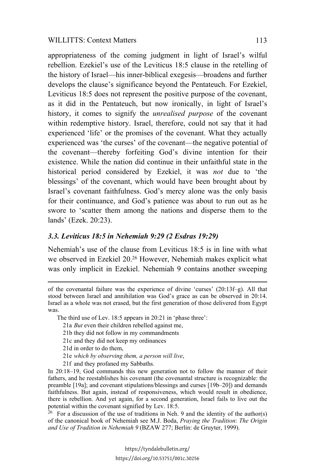appropriateness of the coming judgment in light of Israel's wilful rebellion. Ezekiel's use of the Leviticus 18:5 clause in the retelling of the history of Israel—his inner-biblical exegesis—broadens and further develops the clause's significance beyond the Pentateuch. For Ezekiel, Leviticus 18:5 does not represent the positive purpose of the covenant, as it did in the Pentateuch, but now ironically, in light of Israel's history, it comes to signify the *unrealised purpose* of the covenant within redemptive history. Israel, therefore, could not say that it had experienced 'life' or the promises of the covenant. What they actually experienced was 'the curses' of the covenant—the negative potential of the covenant—thereby forfeiting God's divine intention for their existence. While the nation did continue in their unfaithful state in the historical period considered by Ezekiel, it was *not* due to 'the blessings' of the covenant, which would have been brought about by Israel's covenant faithfulness. God's mercy alone was the only basis for their continuance, and God's patience was about to run out as he swore to 'scatter them among the nations and disperse them to the lands' (Ezek. 20:23).

## *3.3. Leviticus 18:5 in Nehemiah 9:29 (2 Esdras 19:29)*

Nehemiah's use of the clause from Leviticus 18:5 is in line with what we observed in Ezekiel 20.26 However, Nehemiah makes explicit what was only implicit in Ezekiel. Nehemiah 9 contains another sweeping

The third use of Lev. 18:5 appears in 20:21 in 'phase three':

- 21a *But* even their children rebelled against me,
- 21b they did not follow in my commandments
- 21c and they did not keep my ordinances
- 21d in order to do them,

 $\overline{a}$ 

- 21e *which by observing them, a person will live*,
- 21f and they profaned my Sabbaths.

In 20:18–19, God commands this new generation not to follow the manner of their fathers, and he reestablishes his covenant (the covenantal structure is recognizable: the preamble [19a]; and covenant stipulations/blessings and curses [19b–20]) and demands faithfulness. But again, instead of responsiveness, which would result in obedience, there is rebellion. And yet again, for a second generation, Israel fails to live out the potential within the covenant signified by Lev. 18:5.

 $26$  For a discussion of the use of traditions in Neh. 9 and the identity of the author(s) of the canonical book of Nehemiah see M.J. Boda, *Praying the Tradition*: *The Origin and Use of Tradition in Nehemiah 9* (BZAW 277; Berlin: de Gruyter, 1999).

of the covenantal failure was the experience of divine 'curses' (20:13f–g). All that stood between Israel and annihilation was God's grace as can be observed in 20:14. Israel as a whole was not erased, but the first generation of those delivered from Egypt was.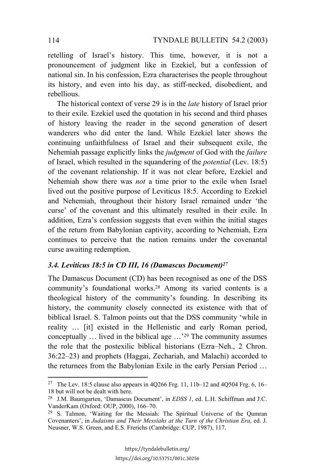retelling of Israel's history. This time, however, it is not a pronouncement of judgment like in Ezekiel, but a confession of national sin. In his confession, Ezra characterises the people throughout its history, and even into his day, as stiff-necked, disobedient, and rebellious.

The historical context of verse 29 is in the *late* history of Israel prior to their exile. Ezekiel used the quotation in his second and third phases of history leaving the reader in the second generation of desert wanderers who did enter the land. While Ezekiel later shows the continuing unfaithfulness of Israel and their subsequent exile, the Nehemiah passage explicitly links the *judgment* of God with the *failure* of Israel, which resulted in the squandering of the *potential* (Lev. 18:5) of the covenant relationship. If it was not clear before, Ezekiel and Nehemiah show there was *not* a time prior to the exile when Israel lived out the positive purpose of Leviticus 18:5. According to Ezekiel and Nehemiah, throughout their history Israel remained under 'the curse' of the covenant and this ultimately resulted in their exile. In addition, Ezra's confession suggests that even within the initial stages of the return from Babylonian captivity, according to Nehemiah, Ezra continues to perceive that the nation remains under the covenantal curse awaiting redemption.

## *3.4. Leviticus 18:5 in CD III, 16 (Damascus Document)27*

The Damascus Document (CD) has been recognised as one of the DSS community's foundational works.28 Among its varied contents is a theological history of the community's founding. In describing its history, the community closely connected its existence with that of biblical Israel. S. Talmon points out that the DSS community 'while in reality … [it] existed in the Hellenistic and early Roman period, conceptually … lived in the biblical age …'29 The community assumes the role that the postexilic biblical historians (Ezra–Neh., 2 Chron. 36:22–23) and prophets (Haggai, Zechariah, and Malachi) accorded to the returnees from the Babylonian Exile in the early Persian Period …

<sup>&</sup>lt;sup>27</sup> The Lev. 18:5 clause also appears in 4Q266 Frg. 11, 11b–12 and 4Q504 Frg. 6, 16– 18 but will not be dealt with here.

<sup>28</sup> J.M. Baumgarten, 'Damascus Document', in *EDSS 1*, ed. L.H. Schiffman and J.C. VanderKam (Oxford: OUP, 2000), 166–70.

<sup>&</sup>lt;sup>29</sup> S. Talmon, 'Waiting for the Messiah: The Spiritual Universe of the Qumran Covenanters', in *Judaisms and Their Messiahs at the Turn of the Christian Era*, ed. J. Neusner, W.S. Green, and E.S. Frerichs (Cambridge: CUP, 1987), 117.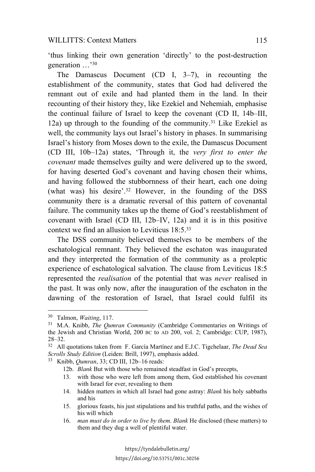#### WILLITTS: Context Matters 115

'thus linking their own generation 'directly' to the post-destruction generation …'30

The Damascus Document (CD I, 3–7), in recounting the establishment of the community, states that God had delivered the remnant out of exile and had planted them in the land. In their recounting of their history they, like Ezekiel and Nehemiah, emphasise the continual failure of Israel to keep the covenant (CD II, 14b–III, 12a) up through to the founding of the community.31 Like Ezekiel as well, the community lays out Israel's history in phases. In summarising Israel's history from Moses down to the exile, the Damascus Document (CD III, 10b–12a) states, 'Through it, the *very first to enter the covenant* made themselves guilty and were delivered up to the sword, for having deserted God's covenant and having chosen their whims, and having followed the stubbornness of their heart, each one doing (what was) his desire'.32 However, in the founding of the DSS community there is a dramatic reversal of this pattern of covenantal failure. The community takes up the theme of God's reestablishment of covenant with Israel (CD III, 12b–IV, 12a) and it is in this positive context we find an allusion to Leviticus 18:5.33

The DSS community believed themselves to be members of the eschatological remnant. They believed the eschaton was inaugurated and they interpreted the formation of the community as a proleptic experience of eschatological salvation. The clause from Leviticus 18:5 represented the *realisation* of the potential that was *never* realised in the past. It was only now, after the inauguration of the eschaton in the dawning of the restoration of Israel, that Israel could fulfil its

- 13. with those who were left from among them, God established his covenant with Israel for ever, revealing to them
- 14. hidden matters in which all Israel had gone astray: *Blank* his holy sabbaths and his
- 15. glorious feasts, his just stipulations and his truthful paths, and the wishes of his will which
- 16. *man must do in order to live by them*. *Blank* He disclosed (these matters) to them and they dug a well of plentiful water.

<sup>30</sup> Talmon, *Waiting*, 117.

<sup>31</sup> M.A. Knibb, *The Qumran Community* (Cambridge Commentaries on Writings of the Jewish and Christian World, 200 BC to AD 200, vol. 2; Cambridge: CUP, 1987), 28–32.

<sup>32</sup> All quotations taken from F. García Martínez and E.J.C. Tigchelaar, *The Dead Sea Scrolls Study Edition* (Leiden: Brill, 1997), emphasis added.

<sup>33</sup> Knibb, *Qumran*, 33; CD III, 12b–16 reads:

<sup>12</sup>b. *Blank* But with those who remained steadfast in God's precepts,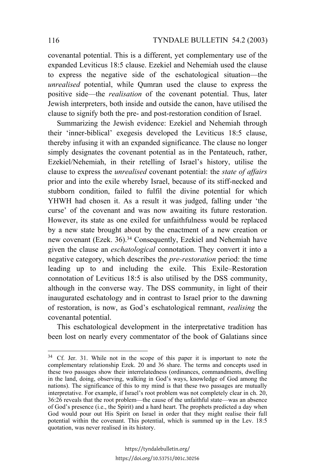covenantal potential. This is a different, yet complementary use of the expanded Leviticus 18:5 clause. Ezekiel and Nehemiah used the clause to express the negative side of the eschatological situation—the *unrealised* potential, while Qumran used the clause to express the positive side—the *realisation* of the covenant potential. Thus, later Jewish interpreters, both inside and outside the canon, have utilised the clause to signify both the pre- and post-restoration condition of Israel.

Summarizing the Jewish evidence: Ezekiel and Nehemiah through their 'inner-biblical' exegesis developed the Leviticus 18:5 clause, thereby infusing it with an expanded significance. The clause no longer simply designates the covenant potential as in the Pentateuch, rather, Ezekiel/Nehemiah, in their retelling of Israel's history, utilise the clause to express the *unrealised* covenant potential: the *state of affairs* prior and into the exile whereby Israel, because of its stiff-necked and stubborn condition, failed to fulfil the divine potential for which YHWH had chosen it. As a result it was judged, falling under 'the curse' of the covenant and was now awaiting its future restoration. However, its state as one exiled for unfaithfulness would be replaced by a new state brought about by the enactment of a new creation or new covenant (Ezek. 36).34 Consequently, Ezekiel and Nehemiah have given the clause an *eschatological* connotation. They convert it into a negative category, which describes the *pre-restoration* period: the time leading up to and including the exile. This Exile–Restoration connotation of Leviticus 18:5 is also utilised by the DSS community, although in the converse way. The DSS community, in light of their inaugurated eschatology and in contrast to Israel prior to the dawning of restoration, is now, as God's eschatological remnant, *realising* the covenantal potential.

This eschatological development in the interpretative tradition has been lost on nearly every commentator of the book of Galatians since

 $\overline{a}$ 

<sup>34</sup> Cf. Jer. 31. While not in the scope of this paper it is important to note the complementary relationship Ezek. 20 and 36 share. The terms and concepts used in these two passages show their interrelatedness (ordinances, commandments, dwelling in the land, doing, observing, walking in God's ways, knowledge of God among the nations). The significance of this to my mind is that these two passages are mutually interpretative. For example, if Israel's root problem was not completely clear in ch. 20, 36:26 reveals that the root problem—the cause of the unfaithful state—was an absence of God's presence (i.e., the Spirit) and a hard heart. The prophets predicted a day when God would pour out His Spirit on Israel in order that they might realise their full potential within the covenant. This potential, which is summed up in the Lev. 18:5 quotation, was never realised in its history.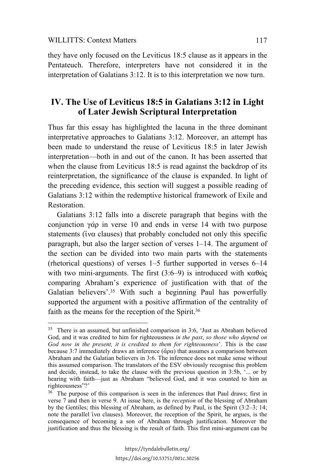$\overline{a}$ 

they have only focused on the Leviticus 18:5 clause as it appears in the Pentateuch. Therefore, interpreters have not considered it in the interpretation of Galatians 3:12. It is to this interpretation we now turn.

# **IV. The Use of Leviticus 18:5 in Galatians 3:12 in Light of Later Jewish Scriptural Interpretation**

Thus far this essay has highlighted the lacuna in the three dominant interpretative approaches to Galatians 3:12. Moreover, an attempt has been made to understand the reuse of Leviticus 18:5 in later Jewish interpretation—both in and out of the canon. It has been asserted that when the clause from Leviticus 18:5 is read against the backdrop of its reinterpretation, the significance of the clause is expanded. In light of the preceding evidence, this section will suggest a possible reading of Galatians 3:12 within the redemptive historical framework of Exile and Restoration.

Galatians 3:12 falls into a discrete paragraph that begins with the conjunction  $\gamma \dot{\alpha}$  in verse 10 and ends in verse 14 with two purpose statements ( $\tilde{i}$ v $\alpha$  clauses) that probably concluded not only this specific paragraph, but also the larger section of verses 1–14. The argument of the section can be divided into two main parts with the statements (rhetorical questions) of verses 1–5 further supported in verses 6–14 with two mini-arguments. The first (3:6–9) is introduced with  $\kappa \alpha \theta \omega \zeta$ comparing Abraham's experience of justification with that of the Galatian believers'.<sup>35</sup> With such a beginning Paul has powerfully supported the argument with a positive affirmation of the centrality of faith as the means for the reception of the Spirit.<sup>36</sup>

<sup>35</sup> There is an assumed, but unfinished comparison in 3:6, 'Just as Abraham believed God, and it was credited to him for righteousness *in the past*, *so those who depend on God now in the present, it is credited to them for righteousness*'. This is the case because 3:7 immediately draws an inference ( $\ddot{\alpha}$ pa) that assumes a comparison between Abraham and the Galatian believers in 3:6. The inference does not make sense without this assumed comparison. The translators of the ESV obviously recognise this problem and decide, instead, to take the clause with the previous question in 3:5b, '... or by hearing with faith—just as Abraham "believed God, and it was counted to him as righteousness"?'

<sup>&</sup>lt;sup>36</sup> The purpose of this comparison is seen in the inferences that Paul draws; first in verse 7 and then in verse 9. At issue here, is the *reception* of the blessing of Abraham by the Gentiles; this blessing of Abraham, as defined by Paul, is the Spirit (3:2–3; 14; note the parallel  $\alpha$  clauses). Moreover, the reception of the Spirit, he argues, is the consequence of becoming a son of Abraham through justification. Moreover the justification and thus the blessing is the result of faith. This first mini-argument can be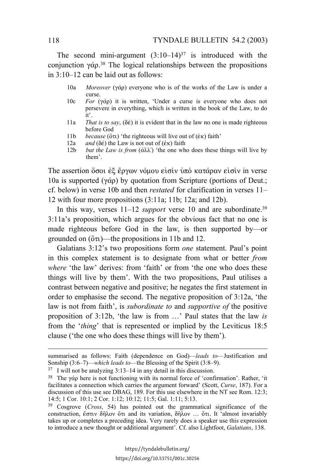The second mini-argument  $(3:10-14)^{37}$  is introduced with the conjunction  $\gamma \dot{\alpha} \rho$ .<sup>38</sup> The logical relationships between the propositions in 3:10–12 can be laid out as follows:

- 10a *Moreover* ( $\gamma \dot{\alpha}$ ) everyone who is of the works of the Law is under a curse.
- 10c *For*  $(\gamma \dot{\alpha})$  it is written, 'Under a curse is everyone who does not persevere in everything, which is written in the book of the Law, to do it'.
- 11a *That is to say*,  $(\delta \acute{\epsilon})$  it is evident that in the law no one is made righteous before God
- 11b *because* ( $\delta \tau$ ) 'the righteous will live out of ( $\epsilon \kappa$ ) faith'
- 12a *and* ( $\delta \acute{\epsilon}$ ) the Law is not out of ( $\acute{\epsilon}$ к) faith
- 12b *but the Law is from* ( $\dot{\alpha} \lambda \lambda$ ) 'the one who does these things will live by them'.

The assertion όσοι έξ έργων νόμου είσίν ύπο κατάραν είσίν in verse 10a is supported ( $\gamma \dot{\alpha}$ ) by quotation from Scripture (portions of Deut.; cf. below) in verse 10b and then *restated* for clarification in verses 11– 12 with four more propositions (3:11a; 11b; 12a; and 12b).

In this way, verses  $11-12$  *support* verse 10 and are subordinate.<sup>39</sup> 3:11a's proposition, which argues for the obvious fact that no one is made righteous before God in the law, is then supported by—or grounded on  $(6\tau)$ —the propositions in 11b and 12.

Galatians 3:12's two propositions form *one* statement. Paul's point in this complex statement is to designate from what or better *from where* 'the law' derives: from 'faith' or from 'the one who does these things will live by them'. With the two propositions, Paul utilises a contrast between negative and positive; he negates the first statement in order to emphasise the second. The negative proposition of 3:12a, 'the law is not from faith', is *subordinate to* and *supportive of* the positive proposition of 3:12b, 'the law is from …' Paul states that the law *is* from the '*thing*' that is represented or implied by the Leviticus 18:5 clause ('the one who does these things will live by them').

summarised as follows: Faith (dependence on God)—*leads to—*Justification and Sonship (3:6–7)—*which leads to—*the Blessing of the Spirit (3:8–9).

<sup>37</sup> I will not be analyzing 3:13–14 in any detail in this discussion.

<sup>&</sup>lt;sup>38</sup> The  $\gamma \dot{\alpha}$  here is not functioning with its normal force of 'confirmation'. Rather, 'it facilitates a connection which carries the argument forward' (Scott, *Curse*, 187). For a discussion of this use see DBAG, 189. For this use elsewhere in the NT see Rom. 12:3; 14:5; 1 Cor. 10:1; 2 Cor. 1:12; 10:12; 11:5; Gal. 1:11; 5:13.

<sup>39</sup> Cosgrove (*Cross*, 54) has pointed out the grammatical significance of the construction,  $\zeta \sigma \tau \upsilon$   $\delta \hat{n} \lambda \upsilon$  of  $\tau$  and its variation,  $\delta \hat{n} \lambda \upsilon$  …  $\sigma \tau$ . It 'almost invariably takes up or completes a preceding idea. Very rarely does a speaker use this expression to introduce a new thought or additional argument'. Cf. also Lightfoot, *Galatians*, 138.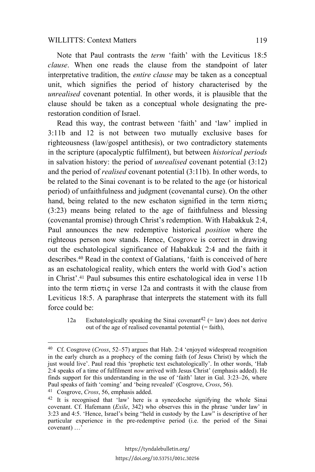Note that Paul contrasts the *term* 'faith' with the Leviticus 18:5 *clause*. When one reads the clause from the standpoint of later interpretative tradition, the *entire clause* may be taken as a conceptual unit, which signifies the period of history characterised by the *unrealised* covenant potential. In other words, it is plausible that the clause should be taken as a conceptual whole designating the prerestoration condition of Israel.

Read this way, the contrast between 'faith' and 'law' implied in 3:11b and 12 is not between two mutually exclusive bases for righteousness (law/gospel antithesis), or two contradictory statements in the scripture (apocalyptic fulfilment), but between *historical periods* in salvation history: the period of *unrealised* covenant potential (3:12) and the period of *realised* covenant potential (3:11b). In other words, to be related to the Sinai covenant is to be related to the age (or historical period) of unfaithfulness and judgment (covenantal curse). On the other hand, being related to the new eschaton signified in the term  $\pi$ ioric (3:23) means being related to the age of faithfulness and blessing (covenantal promise) through Christ's redemption. With Habakkuk 2:4, Paul announces the new redemptive historical *position* where the righteous person now stands. Hence, Cosgrove is correct in drawing out the eschatological significance of Habakkuk 2:4 and the faith it describes.40 Read in the context of Galatians, 'faith is conceived of here as an eschatological reality, which enters the world with God's action in Christ'.41 Paul subsumes this entire eschatological idea in verse 11b into the term  $\pi i \sigma \tau i \varsigma$  in verse 12a and contrasts it with the clause from Leviticus 18:5. A paraphrase that interprets the statement with its full force could be:

12a Eschatologically speaking the Sinai covenant<sup>42</sup> (= law) does not derive out of the age of realised covenantal potential  $(=\text{faith})$ ,

<sup>41</sup> Cosgrove, *Cross*, 56, emphasis added.

<sup>40</sup> Cf. Cosgrove (*Cross*, 52–57) argues that Hab. 2:4 'enjoyed widespread recognition in the early church as a prophecy of the coming faith (of Jesus Christ) by which the just would live'. Paul read this 'prophetic text eschatologically'. In other words, 'Hab 2:4 speaks of a time of fulfilment *now* arrived with Jesus Christ' (emphasis added). He finds support for this understanding in the use of 'faith' later in  $Gal. 3:23-26$ , where Paul speaks of faith 'coming' and 'being revealed' (Cosgrove, *Cross*, 56).

<sup>42</sup> It is recognised that 'law' here is a synecdoche signifying the whole Sinai covenant. Cf. Hafemann (*Exile*, 342) who observes this in the phrase 'under law' in 3:23 and 4:5. 'Hence, Israel's being "held in custody by the Law" is descriptive of her particular experience in the pre-redemptive period (i.e. the period of the Sinai covenant) …'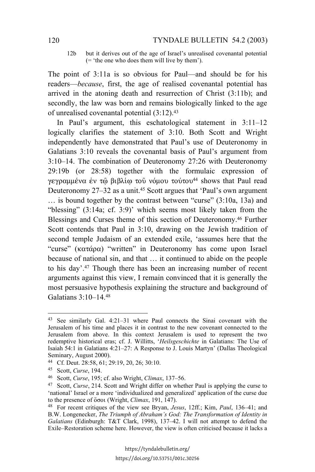12b but it derives out of the age of Israel's unrealised covenantal potential (= 'the one who does them will live by them').

The point of 3:11a is so obvious for Paul—and should be for his readers—*because*, first, the age of realised covenantal potential has arrived in the atoning death and resurrection of Christ (3:11b); and secondly, the law was born and remains biologically linked to the age of unrealised covenantal potential (3:12).43

In Paul's argument, this eschatological statement in 3:11–12 logically clarifies the statement of 3:10. Both Scott and Wright independently have demonstrated that Paul's use of Deuteronomy in Galatians 3:10 reveals the covenantal basis of Paul's argument from 3:10–14. The combination of Deuteronomy 27:26 with Deuteronomy 29:19b (or 28:58) together with the formulaic expression of γεγραμμένα έν τῶ βιβλίω τοῦ νόμου τούτου<sup>44</sup> shows that Paul read Deuteronomy 27–32 as a unit.<sup>45</sup> Scott argues that 'Paul's own argument … is bound together by the contrast between "curse" (3:10a, 13a) and "blessing" (3:14a; cf. 3:9)' which seems most likely taken from the Blessings and Curses theme of this section of Deuteronomy.46 Further Scott contends that Paul in 3:10, drawing on the Jewish tradition of second temple Judaism of an extended exile, 'assumes here that the "curse" ( $\kappa \alpha \tau \dot{\alpha} \rho \alpha$ ) "written" in Deuteronomy has come upon Israel because of national sin, and that … it continued to abide on the people to his day'.47 Though there has been an increasing number of recent arguments against this view, I remain convinced that it is generally the most persuasive hypothesis explaining the structure and background of Galatians 3:10–14.48

<sup>43</sup> See similarly Gal. 4:21–31 where Paul connects the Sinai covenant with the Jerusalem of his time and places it in contrast to the new covenant connected to the Jerusalem from above. In this context Jerusalem is used to represent the two redemptive historical eras; cf. J. Willitts, '*Heilsgeschichte* in Galatians: The Use of Isaiah 54:1 in Galatians 4:21–27: A Response to J. Louis Martyn' (Dallas Theological Seminary, August 2000).

<sup>44</sup> Cf. Deut. 28:58, 61; 29:19, 20, 26; 30:10.

<sup>45</sup> Scott, *Curse*, 194.

<sup>46</sup> Scott, *Curse*, 195; cf. also Wright, *Climax*, 137–56.

<sup>47</sup> Scott, *Curse*, 214. Scott and Wright differ on whether Paul is applying the curse to 'national' Israel or a more 'individualized and generalized' application of the curse due to the presence of  $\delta$   $\sigma$ <sup>o</sup> (Wright, *Climax*, 191, 147).

<sup>48</sup> For recent critiques of the view see Bryan, *Jesus*, 12ff.; Kim, *Paul*, 136–41; and B.W. Longenecker, *The Triumph of Abraham's God: The Transformation of Identity in Galatians* (Edinburgh: T&T Clark, 1998), 137–42. I will not attempt to defend the Exile–Restoration scheme here. However, the view is often criticised because it lacks a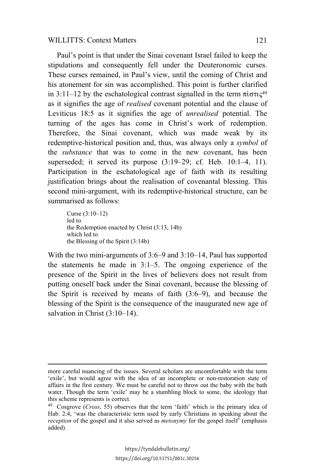Paul's point is that under the Sinai covenant Israel failed to keep the stipulations and consequently fell under the Deuteronomic curses. These curses remained, in Paul's view, until the coming of Christ and his atonement for sin was accomplished. This point is further clarified in 3:11–12 by the eschatological contrast signalled in the term  $\pi i \sigma \tau \zeta^{49}$ as it signifies the age of *realised* covenant potential and the clause of Leviticus 18:5 as it signifies the age of *unrealised* potential. The turning of the ages has come in Christ's work of redemption. Therefore, the Sinai covenant, which was made weak by its redemptive-historical position and, thus, was always only a *symbol* of the *substance* that was to come in the new covenant, has been superseded; it served its purpose (3:19–29; cf. Heb. 10:1–4, 11). Participation in the eschatological age of faith with its resulting justification brings about the realisation of covenantal blessing. This second mini-argument, with its redemptive-historical structure, can be summarised as follows:

Curse (3:10–12) led to the Redemption enacted by Christ (3:13, 14b) which led to the Blessing of the Spirit (3:14b)

l

With the two mini-arguments of 3:6–9 and 3:10–14, Paul has supported the statements he made in 3:1–5. The ongoing experience of the presence of the Spirit in the lives of believers does not result from putting oneself back under the Sinai covenant, because the blessing of the Spirit is received by means of faith (3:6–9), and because the blessing of the Spirit is the consequence of the inaugurated new age of salvation in Christ  $(3:10-14)$ .

more careful nuancing of the issues. Several scholars are uncomfortable with the term 'exile', but would agree with the idea of an incomplete or non-restoration state of affairs in the first century. We must be careful not to throw out the baby with the bath water. Though the term 'exile' may be a stumbling block to some, the ideology that this scheme represents is correct.

<sup>49</sup> Cosgrove (*Cross*, 55) observes that the term 'faith' which is the primary idea of Hab. 2:4, 'was the characteristic term used by early Christians in speaking about the *reception* of the gospel and it also served as *metonymy* for the gospel itself' (emphasis added).